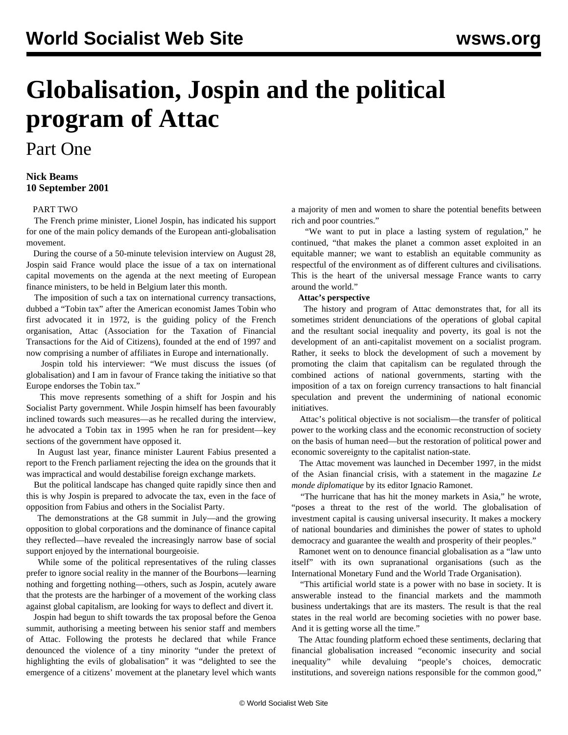# **Globalisation, Jospin and the political program of Attac**

## Part One

#### **Nick Beams 10 September 2001**

#### [PART TWO](/en/articles/2001/09/att-s11.html)

 The French prime minister, Lionel Jospin, has indicated his support for one of the main policy demands of the European anti-globalisation movement.

 During the course of a 50-minute television interview on August 28, Jospin said France would place the issue of a tax on international capital movements on the agenda at the next meeting of European finance ministers, to be held in Belgium later this month.

 The imposition of such a tax on international currency transactions, dubbed a "Tobin tax" after the American economist James Tobin who first advocated it in 1972, is the guiding policy of the French organisation, Attac (Association for the Taxation of Financial Transactions for the Aid of Citizens), founded at the end of 1997 and now comprising a number of affiliates in Europe and internationally.

 Jospin told his interviewer: "We must discuss the issues (of globalisation) and I am in favour of France taking the initiative so that Europe endorses the Tobin tax."

 This move represents something of a shift for Jospin and his Socialist Party government. While Jospin himself has been favourably inclined towards such measures—as he recalled during the interview, he advocated a Tobin tax in 1995 when he ran for president—key sections of the government have opposed it.

 In August last year, finance minister Laurent Fabius presented a report to the French parliament rejecting the idea on the grounds that it was impractical and would destabilise foreign exchange markets.

 But the political landscape has changed quite rapidly since then and this is why Jospin is prepared to advocate the tax, even in the face of opposition from Fabius and others in the Socialist Party.

 The demonstrations at the G8 summit in July—and the growing opposition to global corporations and the dominance of finance capital they reflected—have revealed the increasingly narrow base of social support enjoyed by the international bourgeoisie.

 While some of the political representatives of the ruling classes prefer to ignore social reality in the manner of the Bourbons—learning nothing and forgetting nothing—others, such as Jospin, acutely aware that the protests are the harbinger of a movement of the working class against global capitalism, are looking for ways to deflect and divert it.

 Jospin had begun to shift towards the tax proposal before the Genoa summit, authorising a meeting between his senior staff and members of Attac. Following the protests he declared that while France denounced the violence of a tiny minority "under the pretext of highlighting the evils of globalisation" it was "delighted to see the emergence of a citizens' movement at the planetary level which wants

a majority of men and women to share the potential benefits between rich and poor countries."

 "We want to put in place a lasting system of regulation," he continued, "that makes the planet a common asset exploited in an equitable manner; we want to establish an equitable community as respectful of the environment as of different cultures and civilisations. This is the heart of the universal message France wants to carry around the world."

#### **Attac's perspective**

 The history and program of Attac demonstrates that, for all its sometimes strident denunciations of the operations of global capital and the resultant social inequality and poverty, its goal is not the development of an anti-capitalist movement on a socialist program. Rather, it seeks to block the development of such a movement by promoting the claim that capitalism can be regulated through the combined actions of national governments, starting with the imposition of a tax on foreign currency transactions to halt financial speculation and prevent the undermining of national economic initiatives.

 Attac's political objective is not socialism—the transfer of political power to the working class and the economic reconstruction of society on the basis of human need—but the restoration of political power and economic sovereignty to the capitalist nation-state.

 The Attac movement was launched in December 1997, in the midst of the Asian financial crisis, with a statement in the magazine *Le monde diplomatique* by its editor Ignacio Ramonet.

 "The hurricane that has hit the money markets in Asia," he wrote, "poses a threat to the rest of the world. The globalisation of investment capital is causing universal insecurity. It makes a mockery of national boundaries and diminishes the power of states to uphold democracy and guarantee the wealth and prosperity of their peoples."

 Ramonet went on to denounce financial globalisation as a "law unto itself" with its own supranational organisations (such as the International Monetary Fund and the World Trade Organisation).

 "This artificial world state is a power with no base in society. It is answerable instead to the financial markets and the mammoth business undertakings that are its masters. The result is that the real states in the real world are becoming societies with no power base. And it is getting worse all the time."

 The Attac founding platform echoed these sentiments, declaring that financial globalisation increased "economic insecurity and social inequality" while devaluing "people's choices, democratic institutions, and sovereign nations responsible for the common good,"